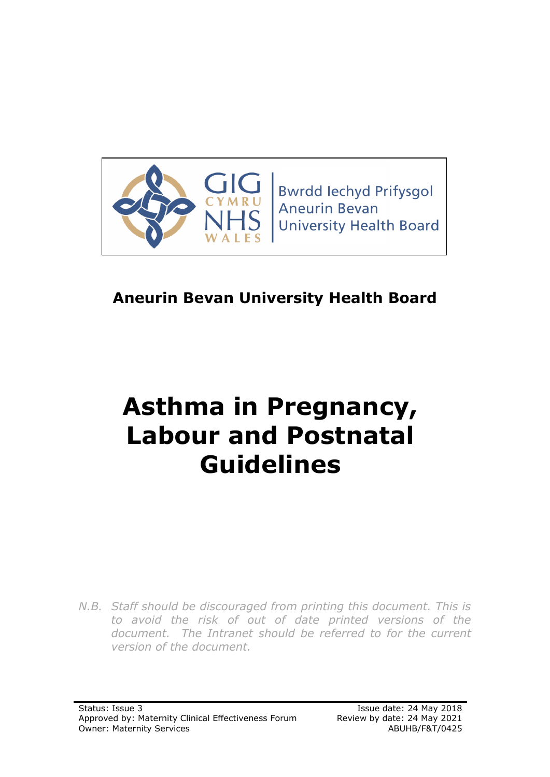

**Bwrdd lechyd Prifysgol Aneurin Bevan University Health Board** 

# **Aneurin Bevan University Health Board**

# **Asthma in Pregnancy, Labour and Postnatal Guidelines**

*N.B. Staff should be discouraged from printing this document. This is to avoid the risk of out of date printed versions of the document. The Intranet should be referred to for the current version of the document.*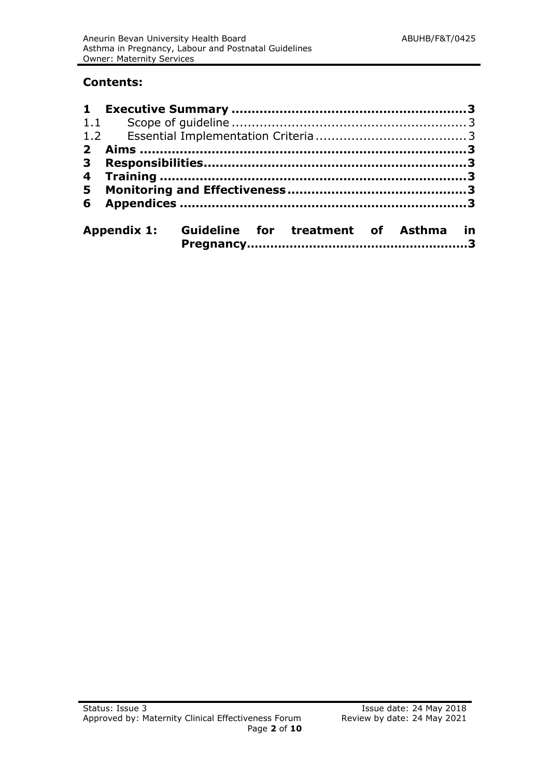# **Contents:**

| $2^{\circ}$  |  |                                                  |  |  |  |  |  |
|--------------|--|--------------------------------------------------|--|--|--|--|--|
| $\mathbf{3}$ |  |                                                  |  |  |  |  |  |
|              |  |                                                  |  |  |  |  |  |
| 5            |  |                                                  |  |  |  |  |  |
|              |  |                                                  |  |  |  |  |  |
|              |  | Appendix 1: Guideline for treatment of Asthma in |  |  |  |  |  |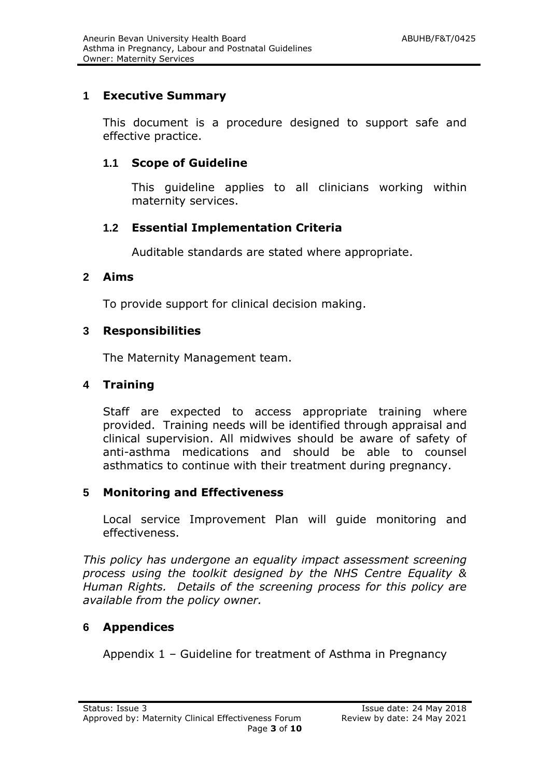# **1 Executive Summary**

This document is a procedure designed to support safe and effective practice.

# **1.1 Scope of Guideline**

This guideline applies to all clinicians working within maternity services.

# **1.2 Essential Implementation Criteria**

Auditable standards are stated where appropriate.

#### **2 Aims**

To provide support for clinical decision making.

#### **3 Responsibilities**

The Maternity Management team.

# **4 Training**

Staff are expected to access appropriate training where provided. Training needs will be identified through appraisal and clinical supervision. All midwives should be aware of safety of anti-asthma medications and should be able to counsel asthmatics to continue with their treatment during pregnancy.

#### **5 Monitoring and Effectiveness**

Local service Improvement Plan will guide monitoring and effectiveness.

*This policy has undergone an equality impact assessment screening process using the toolkit designed by the NHS Centre Equality & Human Rights. Details of the screening process for this policy are available from the policy owner.*

# **6 Appendices**

Appendix 1 – Guideline for treatment of Asthma in Pregnancy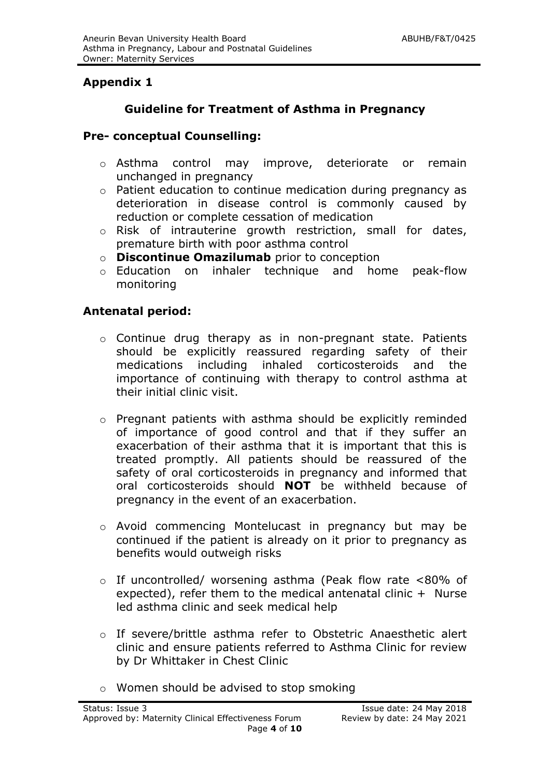# **Appendix 1**

# **Guideline for Treatment of Asthma in Pregnancy**

#### **Pre- conceptual Counselling:**

- o Asthma control may improve, deteriorate or remain unchanged in pregnancy
- o Patient education to continue medication during pregnancy as deterioration in disease control is commonly caused by reduction or complete cessation of medication
- o Risk of intrauterine growth restriction, small for dates, premature birth with poor asthma control
- o **Discontinue Omazilumab** prior to conception
- o Education on inhaler technique and home peak-flow monitoring

#### **Antenatal period:**

- o Continue drug therapy as in non-pregnant state. Patients should be explicitly reassured regarding safety of their medications including inhaled corticosteroids and the importance of continuing with therapy to control asthma at their initial clinic visit.
- o Pregnant patients with asthma should be explicitly reminded of importance of good control and that if they suffer an exacerbation of their asthma that it is important that this is treated promptly. All patients should be reassured of the safety of oral corticosteroids in pregnancy and informed that oral corticosteroids should **NOT** be withheld because of pregnancy in the event of an exacerbation.
- o Avoid commencing Montelucast in pregnancy but may be continued if the patient is already on it prior to pregnancy as benefits would outweigh risks
- o If uncontrolled/ worsening asthma (Peak flow rate <80% of expected), refer them to the medical antenatal clinic  $+$  Nurse led asthma clinic and seek medical help
- o If severe/brittle asthma refer to Obstetric Anaesthetic alert clinic and ensure patients referred to Asthma Clinic for review by Dr Whittaker in Chest Clinic
- o Women should be advised to stop smoking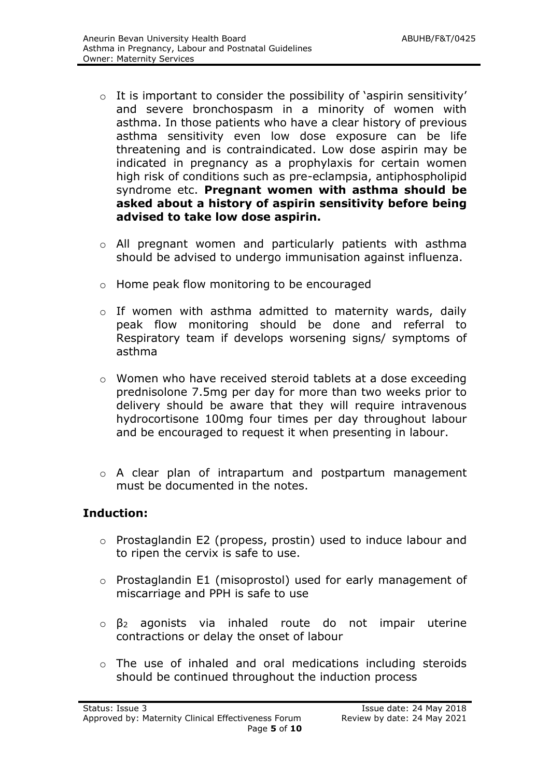- $\circ$  It is important to consider the possibility of 'aspirin sensitivity' and severe bronchospasm in a minority of women with asthma. In those patients who have a clear history of previous asthma sensitivity even low dose exposure can be life threatening and is contraindicated. Low dose aspirin may be indicated in pregnancy as a prophylaxis for certain women high risk of conditions such as pre-eclampsia, antiphospholipid syndrome etc. **Pregnant women with asthma should be asked about a history of aspirin sensitivity before being advised to take low dose aspirin.**
- o All pregnant women and particularly patients with asthma should be advised to undergo immunisation against influenza.
- o Home peak flow monitoring to be encouraged
- o If women with asthma admitted to maternity wards, daily peak flow monitoring should be done and referral to Respiratory team if develops worsening signs/ symptoms of asthma
- o Women who have received steroid tablets at a dose exceeding prednisolone 7.5mg per day for more than two weeks prior to delivery should be aware that they will require intravenous hydrocortisone 100mg four times per day throughout labour and be encouraged to request it when presenting in labour.
- o A clear plan of intrapartum and postpartum management must be documented in the notes.

#### **Induction:**

- o Prostaglandin E2 (propess, prostin) used to induce labour and to ripen the cervix is safe to use.
- o Prostaglandin E1 (misoprostol) used for early management of miscarriage and PPH is safe to use
- o β<sup>2</sup> agonists via inhaled route do not impair uterine contractions or delay the onset of labour
- o The use of inhaled and oral medications including steroids should be continued throughout the induction process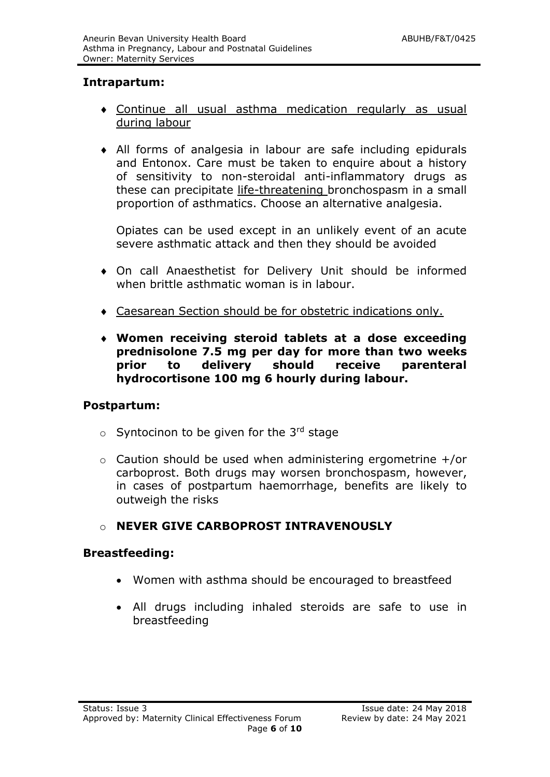# **Intrapartum:**

- Continue all usual asthma medication regularly as usual during labour
- All forms of analgesia in labour are safe including epidurals and Entonox. Care must be taken to enquire about a history of sensitivity to non-steroidal anti-inflammatory drugs as these can precipitate life-threatening bronchospasm in a small proportion of asthmatics. Choose an alternative analgesia.

Opiates can be used except in an unlikely event of an acute severe asthmatic attack and then they should be avoided

- On call Anaesthetist for Delivery Unit should be informed when brittle asthmatic woman is in labour.
- Caesarean Section should be for obstetric indications only.
- **Women receiving steroid tablets at a dose exceeding prednisolone 7.5 mg per day for more than two weeks prior to delivery should receive parenteral hydrocortisone 100 mg 6 hourly during labour.**

#### **Postpartum:**

- $\circ$  Syntocinon to be given for the 3<sup>rd</sup> stage
- o Caution should be used when administering ergometrine +/or carboprost. Both drugs may worsen bronchospasm, however, in cases of postpartum haemorrhage, benefits are likely to outweigh the risks

#### o **NEVER GIVE CARBOPROST INTRAVENOUSLY**

#### **Breastfeeding:**

- Women with asthma should be encouraged to breastfeed
- All drugs including inhaled steroids are safe to use in breastfeeding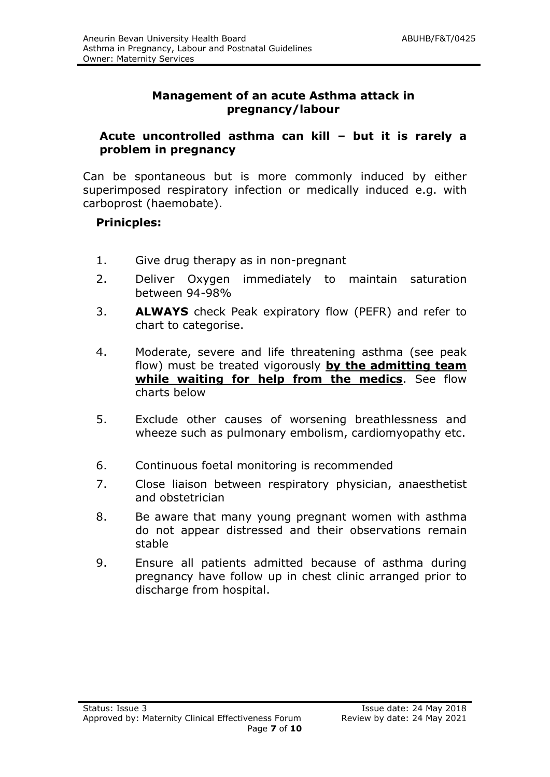# **Management of an acute Asthma attack in pregnancy/labour**

#### **Acute uncontrolled asthma can kill – but it is rarely a problem in pregnancy**

Can be spontaneous but is more commonly induced by either superimposed respiratory infection or medically induced e.g. with carboprost (haemobate).

# **Prinicples:**

- 1. Give drug therapy as in non-pregnant
- 2. Deliver Oxygen immediately to maintain saturation between 94-98%
- 3. **ALWAYS** check Peak expiratory flow (PEFR) and refer to chart to categorise.
- 4. Moderate, severe and life threatening asthma (see peak flow) must be treated vigorously **by the admitting team while waiting for help from the medics**. See flow charts below
- 5. Exclude other causes of worsening breathlessness and wheeze such as pulmonary embolism, cardiomyopathy etc.
- 6. Continuous foetal monitoring is recommended
- 7. Close liaison between respiratory physician, anaesthetist and obstetrician
- 8. Be aware that many young pregnant women with asthma do not appear distressed and their observations remain stable
- 9. Ensure all patients admitted because of asthma during pregnancy have follow up in chest clinic arranged prior to discharge from hospital.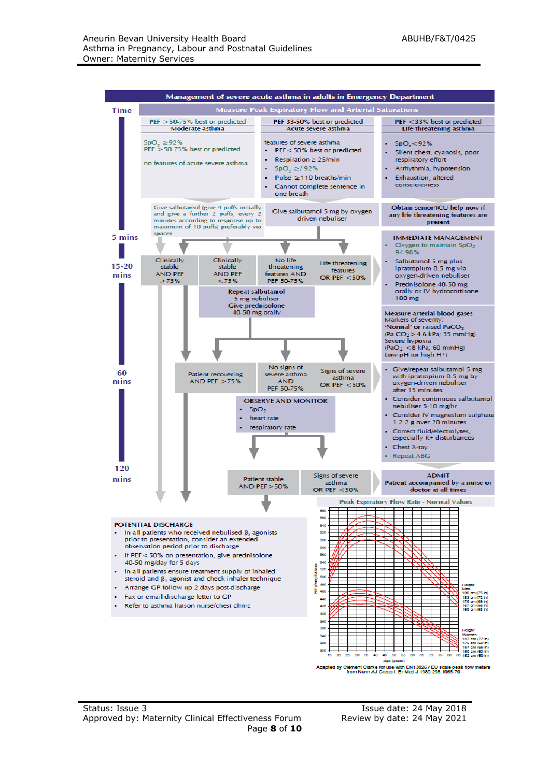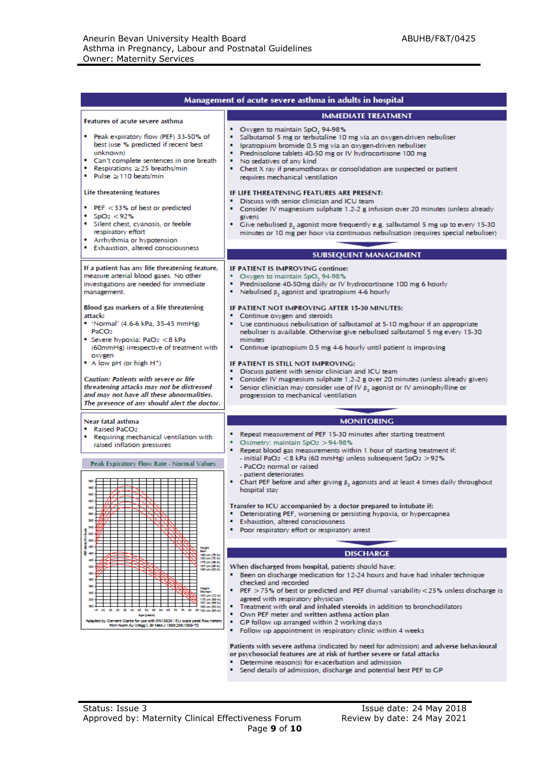| Management of acute severe asthma in adults in hospital                                                                                                                                                                                                                                                                                                                                    |                                                                                                                                                                                                                                                                                                                                                                                                                                                                                                                                                                                                                                                    |  |  |  |  |  |
|--------------------------------------------------------------------------------------------------------------------------------------------------------------------------------------------------------------------------------------------------------------------------------------------------------------------------------------------------------------------------------------------|----------------------------------------------------------------------------------------------------------------------------------------------------------------------------------------------------------------------------------------------------------------------------------------------------------------------------------------------------------------------------------------------------------------------------------------------------------------------------------------------------------------------------------------------------------------------------------------------------------------------------------------------------|--|--|--|--|--|
| Features of acute severe asthma                                                                                                                                                                                                                                                                                                                                                            | <b>IMMEDIATE TREATMENT</b>                                                                                                                                                                                                                                                                                                                                                                                                                                                                                                                                                                                                                         |  |  |  |  |  |
| Peak expiratory flow (PEF) 33-50% of<br>best (use % predicted if recent best<br>unknown)<br>Can't complete sentences in one breath<br>Respirations $\geq$ 25 breaths/min<br>Pulse $\geq$ 110 beats/min                                                                                                                                                                                     | ٠<br>Oxygen to maintain SpO, 94-98%<br>Salbutamol 5 mg or terbutaline 10 mg via an oxygen-driven nebuliser<br>Ipratropium bromide 0.5 mg via an oxygen-driven nebuliser<br>Prednisolone tablets 40-50 mg or IV hydrocortisone 100 mg<br>No sedatives of any kind<br>Chest X ray if pneumothorax or consolidation are suspected or patient<br>requires mechanical ventilation                                                                                                                                                                                                                                                                       |  |  |  |  |  |
| Life threatening features<br>PEF < 33% of best or predicted<br>$-5pO2 < 92%$<br>Silent chest, cyanosis, or feeble<br>respiratory effort<br>Arrhythmia or hypotension<br><b>Exhaustion, altered consciousness</b>                                                                                                                                                                           | IF LIFE THREATENING FEATURES ARE PRESENT:<br>Discuss with senior clinician and ICU team<br>Consider IV magnesium sulphate 1.2-2 g infusion over 20 minutes (unless already<br>given)<br>Give nebulised $\beta_2$ agonist more frequently e.g. salbutamol 5 mg up to every 15-30<br>minutes or 10 mg per hour via continuous nebulisation (requires special nebuliser)<br><b>SUBSEQUENT MANAGEMENT</b>                                                                                                                                                                                                                                              |  |  |  |  |  |
|                                                                                                                                                                                                                                                                                                                                                                                            |                                                                                                                                                                                                                                                                                                                                                                                                                                                                                                                                                                                                                                                    |  |  |  |  |  |
| If a patient has any life threatening feature,<br>measure arterial blood gases. No other<br>investigations are needed for immediate<br>management.                                                                                                                                                                                                                                         | <b>IF PATIENT IS IMPROVING continue:</b><br>• Oxygen to maintain SpO, 94-98%<br>Prednisolone 40-50mg daily or IV hydrocortisone 100 mg 6 hourly<br>Nebulised $\beta$ , agonist and ipratropium 4-6 hourly                                                                                                                                                                                                                                                                                                                                                                                                                                          |  |  |  |  |  |
| Blood gas markers of a life threatening<br>attack:<br>" 'Normal' (4.6-6 kPa, 35-45 mmHg)<br>PaCO <sub>2</sub><br><b>Severe hypoxia: PaO<sub>2</sub> &lt; 8 kPa</b><br>(60mmHg) irrespective of treatment with<br>oxygen<br>$\blacksquare$ A low pH (or high H <sup>+</sup> )<br><b>Caution: Patients with severe or life</b><br>threatening attacks may not be distressed                  | IF PATIENT NOT IMPROVING AFTER 15-30 MINUTES:<br>Continue oxygen and steroids<br>Use continuous nebulisation of salbutamol at 5-10 mg/hour if an appropriate<br>nebuliser is available. Otherwise give nebulised salbutamol 5 mg every 15-30<br>minutes<br>• Continue ipratropium 0.5 mg 4-6 hourly until patient is improving<br>IF PATIENT IS STILL NOT IMPROVING:<br>Discuss patient with senior clinician and ICU team<br>Consider IV magnesium sulphate 1.2-2 g over 20 minutes (unless already given)<br>Senior clinician may consider use of IV $\beta$ , agonist or IV aminophylline or                                                    |  |  |  |  |  |
| and may not have all these abnormalities.<br>The presence of any should alert the doctor.                                                                                                                                                                                                                                                                                                  | progression to mechanical ventilation                                                                                                                                                                                                                                                                                                                                                                                                                                                                                                                                                                                                              |  |  |  |  |  |
| Near fatal asthma                                                                                                                                                                                                                                                                                                                                                                          | <b>MONITORING</b>                                                                                                                                                                                                                                                                                                                                                                                                                                                                                                                                                                                                                                  |  |  |  |  |  |
| Raised PaCO <sub>2</sub><br>" Requiring mechanical ventilation with<br>raised inflation pressures                                                                                                                                                                                                                                                                                          | Repeat measurement of PEF 15-30 minutes after starting treatment<br>Oximetry: maintain SpO <sub>2</sub> > 94-98%<br>٠<br>Repeat blood gas measurements within 1 hour of starting treatment if:<br>٠<br>- initial PaO2 < 8 kPa (60 mmHg) unless subsequent SpO2 > 92%                                                                                                                                                                                                                                                                                                                                                                               |  |  |  |  |  |
| Peak Expiratory Flow Rate - Normal Values                                                                                                                                                                                                                                                                                                                                                  | - PaCO <sub>2</sub> normal or raised<br>- patient deteriorates<br>• Chart PEF before and after giving $\beta_2$ agonists and at least 4 times daily throughout<br>hospital stay                                                                                                                                                                                                                                                                                                                                                                                                                                                                    |  |  |  |  |  |
| 640<br>600<br>520<br>580<br>500<br><b>Parties</b><br>500<br>I<br>400                                                                                                                                                                                                                                                                                                                       | Transfer to ICU accompanied by a doctor prepared to intubate if:<br>٠<br>Deteriorating PEF, worsening or persisting hypoxia, or hypercapnea<br>Exhaustion, altered consciousness<br>п<br>Poor respiratory effort or respiratory arrest                                                                                                                                                                                                                                                                                                                                                                                                             |  |  |  |  |  |
| Height<br>Men<br>ŧ<br>120 cm (75 ki)                                                                                                                                                                                                                                                                                                                                                       | <b>DISCHARGE</b>                                                                                                                                                                                                                                                                                                                                                                                                                                                                                                                                                                                                                                   |  |  |  |  |  |
| 183 cm (72 ki)<br>175 cm (09 ln)<br>167 cm (06 ln)<br>ø<br>100 cm (03 k)<br>400<br>w<br>360<br>Huight<br>Woman<br>540<br>183 cm (72 ln)<br>300<br>175 cm (59 in)<br>167 cm (66 in)<br>160 cm (63 in)<br>50<br>63<br>85 152 cm (60 lt)<br>临<br>Age (years)<br>Adapted by Clement Clarke for use with EN13826 / EU scale peak flow meters<br>from Nunn AJ Gregg I, Br Med J 1989:298;1068-70 | When discharged from hospital, patients should have:<br>Been on discharge medication for 12-24 hours and have had inhaler technique<br>checked and recorded<br>PEF $>$ 75% of best or predicted and PEF diurnal variability < 25% unless discharge is<br>agreed with respiratory physician<br>Treatment with oral and inhaled steroids in addition to bronchodilators<br>Own PEF meter and written asthma action plan<br>$\blacksquare$<br>GP follow up arranged within 2 working days<br>Follow up appointment in respiratory clinic within 4 weeks<br>п<br>Patients with severe asthma (indicated by need for admission) and adverse behavioural |  |  |  |  |  |

or psychosocial features are at risk of further severe or fatal attacks

- 
- Determine reason(s) for exacerbation and admission<br>• Send details of admission, discharge and potential best PEF to GP